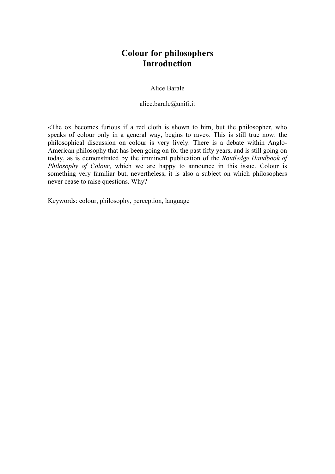## **Colour for philosophers Introduction**

## Alice Barale

alice.barale@unifi.it

«The ox becomes furious if a red cloth is shown to him, but the philosopher, who speaks of colour only in a general way, begins to rave». This is still true now: the philosophical discussion on colour is very lively. There is a debate within Anglo-American philosophy that has been going on for the past fifty years, and is still going on today, as is demonstrated by the imminent publication of the *Routledge Handbook of Philosophy of Colour*, which we are happy to announce in this issue. Colour is something very familiar but, nevertheless, it is also a subject on which philosophers never cease to raise questions. Why?

Keywords: colour, philosophy, perception, language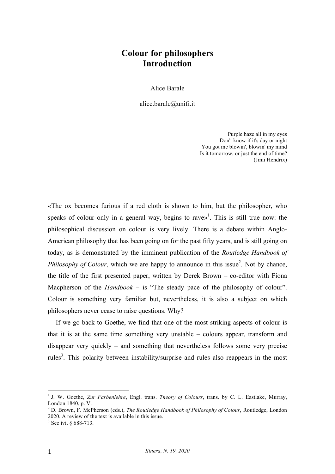## **Colour for philosophers Introduction**

Alice Barale

alice.barale@unifi.it

Purple haze all in my eyes Don't know if it's day or night You got me blowin', blowin' my mind Is it tomorrow, or just the end of time? (Jimi Hendrix)

«The ox becomes furious if a red cloth is shown to him, but the philosopher, who speaks of colour only in a general way, begins to rave»<sup>1</sup>. This is still true now: the philosophical discussion on colour is very lively. There is a debate within Anglo-American philosophy that has been going on for the past fifty years, and is still going on today, as is demonstrated by the imminent publication of the *Routledge Handbook of Philosophy of Colour*, which we are happy to announce in this issue<sup>2</sup>. Not by chance, the title of the first presented paper, written by Derek Brown – co-editor with Fiona Macpherson of the *Handbook* – is "The steady pace of the philosophy of colour". Colour is something very familiar but, nevertheless, it is also a subject on which philosophers never cease to raise questions. Why?

If we go back to Goethe, we find that one of the most striking aspects of colour is that it is at the same time something very unstable – colours appear, transform and disappear very quickly – and something that nevertheless follows some very precise rules<sup>3</sup>. This polarity between instability/surprise and rules also reappears in the most

 <sup>1</sup> J. W. Goethe, *Zur Farbenlehre*, Engl. trans. *Theory of Colours*, trans. by C. L. Eastlake, Murray, London 1840, p. V.

<sup>2</sup> D. Brown, F. McPherson (eds.), *The Routledge Handbook of Philosophy of Colour*, Routledge, London 2020. A review of the text is available in this issue.

<sup>3</sup> See ivi, § 688-713.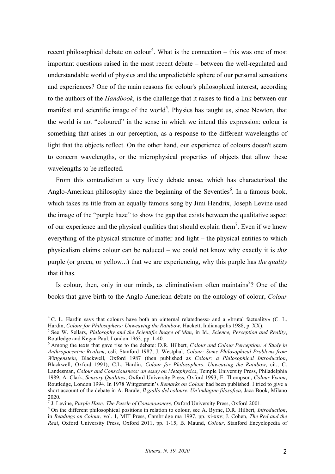recent philosophical debate on colour<sup>4</sup>. What is the connection  $-$  this was one of most important questions raised in the most recent debate – between the well-regulated and understandable world of physics and the unpredictable sphere of our personal sensations and experiences? One of the main reasons for colour's philosophical interest, according to the authors of the *Handbook*, is the challenge that it raises to find a link between our manifest and scientific image of the world<sup>5</sup>. Physics has taught us, since Newton, that the world is not "coloured" in the sense in which we intend this expression: colour is something that arises in our perception, as a response to the different wavelengths of light that the objects reflect. On the other hand, our experience of colours doesn't seem to concern wavelengths, or the microphysical properties of objects that allow these wavelengths to be reflected.

From this contradiction a very lively debate arose, which has characterized the Anglo-American philosophy since the beginning of the Seventies<sup>6</sup>. In a famous book, which takes its title from an equally famous song by Jimi Hendrix, Joseph Levine used the image of the "purple haze" to show the gap that exists between the qualitative aspect of our experience and the physical qualities that should explain them<sup>7</sup>. Even if we knew everything of the physical structure of matter and light – the physical entities to which physicalism claims colour can be reduced – we could not know why exactly it is *this* purple (or green, or yellow...) that we are experiencing, why this purple has *the quality* that it has.

Is colour, then, only in our minds, as eliminativism often maintains $8$ ? One of the books that gave birth to the Anglo-American debate on the ontology of colour, *Colour*

 <sup>4</sup> C. L. Hardin says that colours have both an «internal relatedness» and a «brutal factuality» (C. L.

Hardin, *Colour for Philosophers: Unweaving the Rainbow*, Hackett, Indianapolis 1988, p. XX).<br><sup>5</sup> See W. Sellars, *Philosophy and the Scientific Image of Man*, in Id., *Science, Perception and Reality*, Routledge and Kegan

<sup>&</sup>lt;sup>6</sup> Among the texts that gave rise to the debate: D.R. Hilbert, *Colour and Colour Perception: A Study in Anthropocentric Realism*, csli, Stanford 1987; J. Westphal, *Colour: Some Philosophical Problems from Wittgenstein*, Blackwell, Oxford 1987 (then published as *Colour: a Philosophical Introduction*, Blackwell, Oxford 1991); C.L. Hardin, *Colour for Philosophers: Unweaving the Rainbow*, cit.; C. Landesman, *Colour and Consciousness: an essay on Metaphysics*, Temple University Press, Philadelphia 1989; A. Clark, *Sensory Qualities*, Oxford University Press, Oxford 1993; E. Thompson, *Colour Vision*, Routledge, London 1994. In 1978 Wittgenstein's *Remarks on Colour* had been published. I tried to give a short account of the debate in A. Barale, *Il giallo del coloure. Un'indagine filosofica*, Jaca Book, Milano 2020.<br><sup>7</sup> J. Levine, *Purple Haze: The Puzzle of Consciousness*, Oxford University Press, Oxford 2001.

<sup>&</sup>lt;sup>8</sup> On the different philosophical positions in relation to colour, see A. Byrne, D.R. Hilbert, *Introduction*, in *Readings on Colour*, vol. 1, MIT Press, Cambridge ma 1997, pp. xi-xxv; J. Cohen, *The Red and the Real*, Oxford University Press, Oxford 2011, pp. 1-15; B. Maund, *Colour*, Stanford Encyclopedia of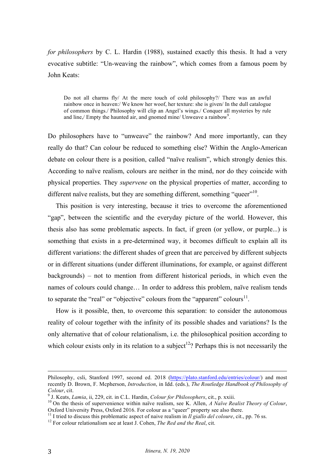*for philosophers* by C. L. Hardin (1988), sustained exactly this thesis. It had a very evocative subtitle: "Un-weaving the rainbow", which comes from a famous poem by John Keats:

Do not all charms fly/ At the mere touch of cold philosophy?/ There was an awful rainbow once in heaven:/ We know her woof, her texture: she is given/ In the dull catalogue of common things./ Philosophy will clip an Angel's wings./ Conquer all mysteries by rule and line,/ Empty the haunted air, and gnomed mine/ Unweave a rainbow<sup>9</sup>.

Do philosophers have to "unweave" the rainbow? And more importantly, can they really do that? Can colour be reduced to something else? Within the Anglo-American debate on colour there is a position, called "naïve realism", which strongly denies this. According to naïve realism, colours are neither in the mind, nor do they coincide with physical properties. They *supervene* on the physical properties of matter, according to different naïve realists, but they are something different, something "queer"<sup>10</sup>.

This position is very interesting, because it tries to overcome the aforementioned "gap", between the scientific and the everyday picture of the world. However, this thesis also has some problematic aspects. In fact, if green (or yellow, or purple...) is something that exists in a pre-determined way, it becomes difficult to explain all its different variations: the different shades of green that are perceived by different subjects or in different situations (under different illuminations, for example, or against different backgrounds) – not to mention from different historical periods, in which even the names of colours could change… In order to address this problem, naïve realism tends to separate the "real" or "objective" colours from the "apparent" colours $^{11}$ .

How is it possible, then, to overcome this separation: to consider the autonomous reality of colour together with the infinity of its possible shades and variations? Is the only alternative that of colour relationalism, i.e. the philosophical position according to which colour exists only in its relation to a subject<sup>12</sup>? Perhaps this is not necessarily the

<u> 1989 - Andrea Santa Andrea Andrea Andrea Andrea Andrea Andrea Andrea Andrea Andrea Andrea Andrea Andrea Andr</u>

Philosophy, csli, Stanford 1997, second ed. 2018 (https://plato.stanford.edu/entries/colour/) and most recently D. Brown, F. Mcpherson, *Introduction*, in Idd. (eds.), *The Routledge Handbook of Philosophy of* 

Colour, cit.<br><sup>9</sup> J. Keats, *Lamia*, ii, 229, cit. in C.L. Hardin, *Colour for Philosophers*, cit., p. xxiii.<br><sup>10</sup> On the thesis of supervenience within naïve realism, see K. Allen, *A Naïve Realist Theory of Colour*,<br>Oxfor

<sup>&</sup>lt;sup>11</sup> I tried to discuss this problematic aspect of naive realism in *Il giallo del coloure*, cit., pp. 76 ss. <sup>12</sup> For colour relationalism see at least J. Cohen. *The Red and the Real*. cit.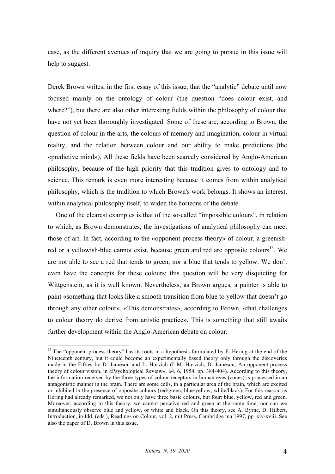case, as the different avenues of inquiry that we are going to pursue in this issue will help to suggest.

Derek Brown writes, in the first essay of this issue, that the "analytic" debate until now focused mainly on the ontology of colour (the question "does colour exist, and where?"), but there are also other interesting fields within the philosophy of colour that have not yet been thoroughly investigated. Some of these are, according to Brown, the question of colour in the arts, the colours of memory and imagination, colour in virtual reality, and the relation between colour and our ability to make predictions (the «predictive mind»). All these fields have been scarcely considered by Anglo-American philosophy, because of the high priority that this tradition gives to ontology and to science. This remark is even more interesting because it comes from within analytical philosophy, which is the tradition to which Brown's work belongs. It shows an interest, within analytical philosophy itself, to widen the horizons of the debate.

One of the clearest examples is that of the so-called "impossible colours", in relation to which, as Brown demonstrates, the investigations of analytical philosophy can meet those of art. In fact, according to the «opponent process theory» of colour, a greenishred or a yellowish-blue cannot exist, because green and red are opposite colours<sup>13</sup>. We are not able to see a red that tends to green, nor a blue that tends to yellow. We don't even have the concepts for these colours; this question will be very disquieting for Wittgenstein, as it is well known. Nevertheless, as Brown argues, a painter is able to paint «something that looks like a smooth transition from blue to yellow that doesn't go through any other colour». «This demonstrates», according to Brown, «that challenges to colour theory do derive from artistic practice». This is something that still awaits further development within the Anglo-American debate on colour.

 $13$  The "opponent process theory" has its roots in a hypothesis formulated by E. Hering at the end of the Nineteenth century, but it could become an experimentally based theory only through the discoveries made in the Fifties by D. Jameson and L. Hurvich (L.M. Hurvich, D. Jameson, An opponent-process theory of colour vision, in «Psychological Review», 64, 6, 1954, pp. 384-404). According to this theory, the information received by the three types of colour receptors in human eyes (cones) is processed in an antagonistic manner in the brain. There are some cells, in a particular area of the brain, which are excited or inhibited in the presence of opposite colours (red/green, blue/yellow, white/black). For this reason, as Hering had already remarked, we not only have three basic colours, but four: blue, yellow, red and green. Moreover, according to this theory, we cannot perceive red and green at the same time, nor can we simultaneously observe blue and yellow, or white and black. On this theory, see A. Byrne, D. Hilbert, Introduction, in Idd. (eds.), Readings on Colour, vol. 2, mit Press, Cambridge ma 1997, pp. xiv-xviii. See also the paper of D. Brown in this issue.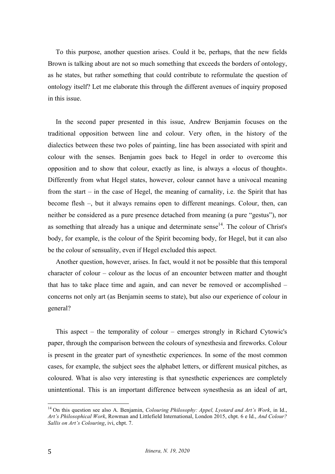To this purpose, another question arises. Could it be, perhaps, that the new fields Brown is talking about are not so much something that exceeds the borders of ontology, as he states, but rather something that could contribute to reformulate the question of ontology itself? Let me elaborate this through the different avenues of inquiry proposed in this issue.

In the second paper presented in this issue, Andrew Benjamin focuses on the traditional opposition between line and colour. Very often, in the history of the dialectics between these two poles of painting, line has been associated with spirit and colour with the senses. Benjamin goes back to Hegel in order to overcome this opposition and to show that colour, exactly as line, is always a «locus of thought». Differently from what Hegel states, however, colour cannot have a univocal meaning from the start – in the case of Hegel, the meaning of carnality, i.e. the Spirit that has become flesh –, but it always remains open to different meanings. Colour, then, can neither be considered as a pure presence detached from meaning (a pure "gestus"), nor as something that already has a unique and determinate sense $14$ . The colour of Christ's body, for example, is the colour of the Spirit becoming body, for Hegel, but it can also be the colour of sensuality, even if Hegel excluded this aspect.

Another question, however, arises. In fact, would it not be possible that this temporal character of colour – colour as the locus of an encounter between matter and thought that has to take place time and again, and can never be removed or accomplished – concerns not only art (as Benjamin seems to state), but also our experience of colour in general?

This aspect – the temporality of colour – emerges strongly in Richard Cytowic's paper, through the comparison between the colours of synesthesia and fireworks. Colour is present in the greater part of synesthetic experiences. In some of the most common cases, for example, the subject sees the alphabet letters, or different musical pitches, as coloured. What is also very interesting is that synesthetic experiences are completely unintentional. This is an important difference between synesthesia as an ideal of art,

 <sup>14</sup> On this question see also A. Benjamin, *Colouring Philosophy: Appel, Lyotard and Art's Work*, in Id., *Art's Philosophical Work*, Rowman and Littlefield International, London 2015, chpt. 6 e Id., *And Colour? Sallis on Art's Colouring*, ivi, chpt. 7.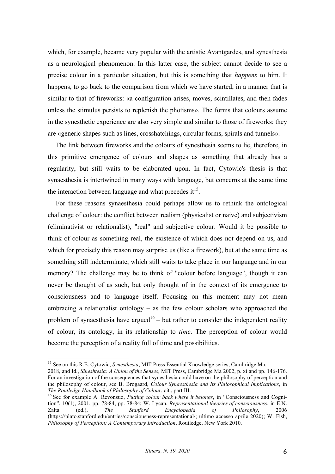which, for example, became very popular with the artistic Avantgardes, and synesthesia as a neurological phenomenon. In this latter case, the subject cannot decide to see a precise colour in a particular situation, but this is something that *happens* to him. It happens, to go back to the comparison from which we have started, in a manner that is similar to that of fireworks: «a configuration arises, moves, scintillates, and then fades unless the stimulus persists to replenish the photisms». The forms that colours assume in the synesthetic experience are also very simple and similar to those of fireworks: they are «generic shapes such as lines, crosshatchings, circular forms, spirals and tunnels».

The link between fireworks and the colours of synesthesia seems to lie, therefore, in this primitive emergence of colours and shapes as something that already has a regularity, but still waits to be elaborated upon. In fact, Cytowic's thesis is that synaesthesia is intertwined in many ways with language, but concerns at the same time the interaction between language and what precedes  $it^{15}$ .

For these reasons synaesthesia could perhaps allow us to rethink the ontological challenge of colour: the conflict between realism (physicalist or naive) and subjectivism (eliminativist or relationalist), "real" and subjective colour. Would it be possible to think of colour as something real, the existence of which does not depend on us, and which for precisely this reason may surprise us (like a firework), but at the same time as something still indeterminate, which still waits to take place in our language and in our memory? The challenge may be to think of "colour before language", though it can never be thought of as such, but only thought of in the context of its emergence to consciousness and to language itself. Focusing on this moment may not mean embracing a relationalist ontology – as the few colour scholars who approached the problem of synaesthesia have argued<sup>16</sup> – but rather to consider the independent reality of colour, its ontology, in its relationship to *time*. The perception of colour would become the perception of a reality full of time and possibilities.

 <sup>15</sup> See on this R.E. Cytowic, *Synesthesia*, MIT Press Essential Knowledge series, Cambridge Ma.

<sup>2018,</sup> and Id., *Sineshtesia: A Union of the Senses*, MIT Press, Cambridge Ma 2002, p. xi and pp. 146-176. For an investigation of the consequences that synesthesia could have on the philosophy of perception and the philosophy of colour, see B. Brogaard, *Colour Synaesthesia and Its Philosophical Implications*, in

<sup>&</sup>lt;sup>16</sup> See for example A. Revonsuo, *Putting colour back where it belongs*, in "Consciousness and Cognition", 10(1), 2001, pp. 78-84, pp. 78-84; W. Lycan, *Representational theories of consciousness*, in E.N. Zalta (ed.), *The Stanford Encyclopedia of Philosophy*, 2006 (https://plato.stanford.edu/entries/consciousness-representational/; ultimo accesso aprile 2020); W. Fish, *Philosophy of Perception: A Contemporary Introduction*, Routledge, New York 2010.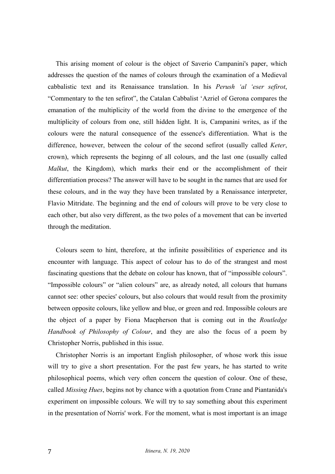This arising moment of colour is the object of Saverio Campanini's paper, which addresses the question of the names of colours through the examination of a Medieval cabbalistic text and its Renaissance translation. In his *Perush 'al 'eser sefirot*, "Commentary to the ten sefirot", the Catalan Cabbalist 'Azriel of Gerona compares the emanation of the multiplicity of the world from the divine to the emergence of the multiplicity of colours from one, still hidden light. It is, Campanini writes, as if the colours were the natural consequence of the essence's differentiation. What is the difference, however, between the colour of the second sefirot (usually called *Keter*, crown), which represents the beginng of all colours, and the last one (usually called *Malkut*, the Kingdom), which marks their end or the accomplishment of their differentiation process? The answer will have to be sought in the names that are used for these colours, and in the way they have been translated by a Renaissance interpreter, Flavio Mitridate. The beginning and the end of colours will prove to be very close to each other, but also very different, as the two poles of a movement that can be inverted through the meditation.

Colours seem to hint, therefore, at the infinite possibilities of experience and its encounter with language. This aspect of colour has to do of the strangest and most fascinating questions that the debate on colour has known, that of "impossible colours". "Impossible colours" or "alien colours" are, as already noted, all colours that humans cannot see: other species' colours, but also colours that would result from the proximity between opposite colours, like yellow and blue, or green and red. Impossible colours are the object of a paper by Fiona Macpherson that is coming out in the *Routledge Handbook of Philosophy of Colour*, and they are also the focus of a poem by Christopher Norris, published in this issue.

Christopher Norris is an important English philosopher, of whose work this issue will try to give a short presentation. For the past few years, he has started to write philosophical poems, which very often concern the question of colour. One of these, called *Missing Hues*, begins not by chance with a quotation from Crane and Piantanida's experiment on impossible colours. We will try to say something about this experiment in the presentation of Norris' work. For the moment, what is most important is an image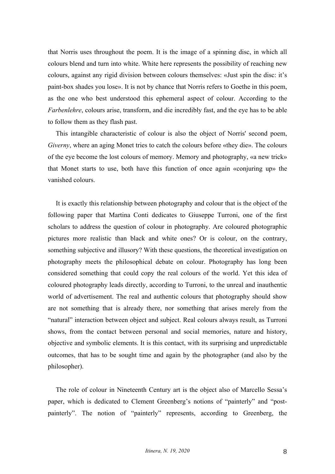that Norris uses throughout the poem. It is the image of a spinning disc, in which all colours blend and turn into white. White here represents the possibility of reaching new colours, against any rigid division between colours themselves: «Just spin the disc: it's paint-box shades you lose». It is not by chance that Norris refers to Goethe in this poem, as the one who best understood this ephemeral aspect of colour. According to the *Farbenlehre*, colours arise, transform, and die incredibly fast, and the eye has to be able to follow them as they flash past.

This intangible characteristic of colour is also the object of Norris' second poem, *Giverny*, where an aging Monet tries to catch the colours before «they die». The colours of the eye become the lost colours of memory. Memory and photography, «a new trick» that Monet starts to use, both have this function of once again «conjuring up» the vanished colours.

It is exactly this relationship between photography and colour that is the object of the following paper that Martina Conti dedicates to Giuseppe Turroni, one of the first scholars to address the question of colour in photography. Are coloured photographic pictures more realistic than black and white ones? Or is colour, on the contrary, something subjective and illusory? With these questions, the theoretical investigation on photography meets the philosophical debate on colour. Photography has long been considered something that could copy the real colours of the world. Yet this idea of coloured photography leads directly, according to Turroni, to the unreal and inauthentic world of advertisement. The real and authentic colours that photography should show are not something that is already there, nor something that arises merely from the "natural" interaction between object and subject. Real colours always result, as Turroni shows, from the contact between personal and social memories, nature and history, objective and symbolic elements. It is this contact, with its surprising and unpredictable outcomes, that has to be sought time and again by the photographer (and also by the philosopher).

The role of colour in Nineteenth Century art is the object also of Marcello Sessa's paper, which is dedicated to Clement Greenberg's notions of "painterly" and "postpainterly". The notion of "painterly" represents, according to Greenberg, the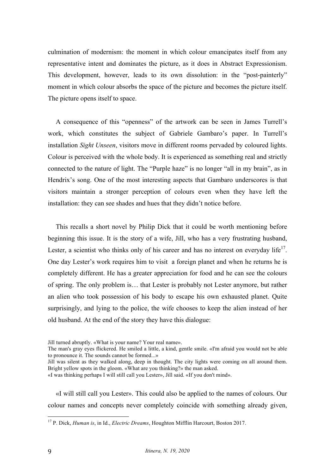culmination of modernism: the moment in which colour emancipates itself from any representative intent and dominates the picture, as it does in Abstract Expressionism. This development, however, leads to its own dissolution: in the "post-painterly" moment in which colour absorbs the space of the picture and becomes the picture itself. The picture opens itself to space.

A consequence of this "openness" of the artwork can be seen in James Turrell's work, which constitutes the subject of Gabriele Gambaro's paper. In Turrell's installation *Sight Unseen*, visitors move in different rooms pervaded by coloured lights. Colour is perceived with the whole body. It is experienced as something real and strictly connected to the nature of light. The "Purple haze" is no longer "all in my brain", as in Hendrix's song. One of the most interesting aspects that Gambaro underscores is that visitors maintain a stronger perception of colours even when they have left the installation: they can see shades and hues that they didn't notice before.

This recalls a short novel by Philip Dick that it could be worth mentioning before beginning this issue. It is the story of a wife, Jill, who has a very frustrating husband, Lester, a scientist who thinks only of his career and has no interest on everyday life<sup>17</sup>. One day Lester's work requires him to visit a foreign planet and when he returns he is completely different. He has a greater appreciation for food and he can see the colours of spring. The only problem is… that Lester is probably not Lester anymore, but rather an alien who took possession of his body to escape his own exhausted planet. Quite surprisingly, and lying to the police, the wife chooses to keep the alien instead of her old husband. At the end of the story they have this dialogue:

«I will still call you Lester». This could also be applied to the names of colours. Our colour names and concepts never completely coincide with something already given,

Jill turned abruptly. «What is your name? Your real name».

The man's gray eyes flickered. He smiled a little, a kind, gentle smile. «I'm afraid you would not be able to pronounce it. The sounds cannot be formed...»

Jill was silent as they walked along, deep in thought. The city lights were coming on all around them. Bright yellow spots in the gloom. «What are you thinking?» the man asked.

<sup>«</sup>I was thinking perhaps I will still call you Lester», Jill said. «If you don't mind».

 <sup>17</sup> P. Dick, *Human is*, in Id., *Electric Dreams*, Houghton Mifflin Harcourt, Boston 2017.